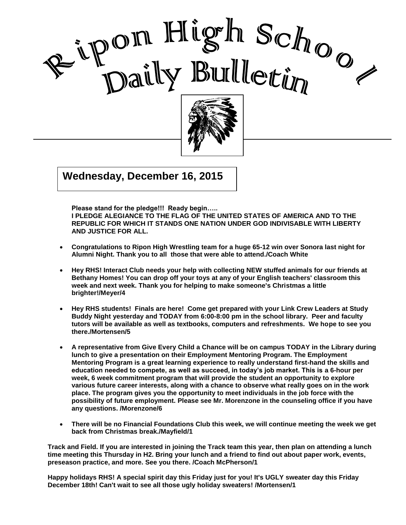



 $\frac{1}{2015}$  $G(x) = \begin{bmatrix} 1 & 0 \\ 0 & 1 \end{bmatrix}$ **Wednesday, December 16, 2015**

**Please stand for the pledge!!! Ready begin…..** 

**I PLEDGE ALEGIANCE TO THE FLAG OF THE UNITED STATES OF AMERICA AND TO THE REPUBLIC FOR WHICH IT STANDS ONE NATION UNDER GOD INDIVISABLE WITH LIBERTY AND JUSTICE FOR ALL.**

I

- **Congratulations to Ripon High Wrestling team for a huge 65-12 win over Sonora last night for Alumni Night. Thank you to all those that were able to attend./Coach White**
- **Hey RHS! Interact Club needs your help with collecting NEW stuffed animals for our friends at Bethany Homes! You can drop off your toys at any of your English teachers' classroom this week and next week. Thank you for helping to make someone's Christmas a little brighter!/Meyer/4**
- **Hey RHS students! Finals are here! Come get prepared with your Link Crew Leaders at Study Buddy Night yesterday and TODAY from 6:00-8:00 pm in the school library. Peer and faculty tutors will be available as well as textbooks, computers and refreshments. We hope to see you there./Mortensen/5**
- **A representative from Give Every Child a Chance will be on campus TODAY in the Library during lunch to give a presentation on their Employment Mentoring Program. The Employment Mentoring Program is a great learning experience to really understand first-hand the skills and education needed to compete, as well as succeed, in today's job market. This is a 6-hour per week, 6 week commitment program that will provide the student an opportunity to explore various future career interests, along with a chance to observe what really goes on in the work place. The program gives you the opportunity to meet individuals in the job force with the possibility of future employment. Please see Mr. Morenzone in the counseling office if you have any questions. /Morenzone/6**
- **There will be no Financial Foundations Club this week, we will continue meeting the week we get back from Christmas break./Mayfield/1**

**Track and Field. If you are interested in joining the Track team this year, then plan on attending a lunch time meeting this Thursday in H2. Bring your lunch and a friend to find out about paper work, events, preseason practice, and more. See you there. /Coach McPherson/1**

**Happy holidays RHS! A special spirit day this Friday just for you! It's UGLY sweater day this Friday December 18th! Can't wait to see all those ugly holiday sweaters! /Mortensen/1**